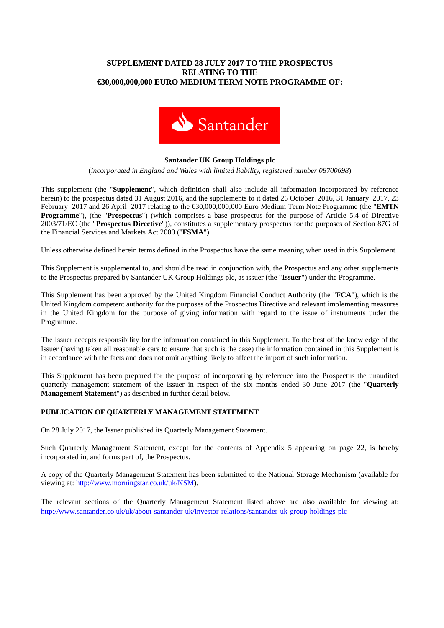## **SUPPLEMENT DATED 28 JULY 2017 TO THE PROSPECTUS RELATING TO THE €30,000,000,000 EURO MEDIUM TERM NOTE PROGRAMME OF:**



## **Santander UK Group Holdings plc**

(*incorporated in England and Wales with limited liability, registered number 08700698*)

This supplement (the "**Supplement**", which definition shall also include all information incorporated by reference herein) to the prospectus dated 31 August 2016, and the supplements to it dated 26 October 2016, 31 January 2017, 23 February 2017 and 26 April 2017 relating to the €30,000,000,000 Euro Medium Term Note Programme (the "**EMTN Programme**"), (the "**Prospectus**") (which comprises a base prospectus for the purpose of Article 5.4 of Directive 2003/71/EC (the "**Prospectus Directive**")), constitutes a supplementary prospectus for the purposes of Section 87G of the Financial Services and Markets Act 2000 ("**FSMA**").

Unless otherwise defined herein terms defined in the Prospectus have the same meaning when used in this Supplement.

This Supplement is supplemental to, and should be read in conjunction with, the Prospectus and any other supplements to the Prospectus prepared by Santander UK Group Holdings plc, as issuer (the "**Issuer**") under the Programme.

This Supplement has been approved by the United Kingdom Financial Conduct Authority (the "**FCA**"), which is the United Kingdom competent authority for the purposes of the Prospectus Directive and relevant implementing measures in the United Kingdom for the purpose of giving information with regard to the issue of instruments under the Programme.

The Issuer accepts responsibility for the information contained in this Supplement. To the best of the knowledge of the Issuer (having taken all reasonable care to ensure that such is the case) the information contained in this Supplement is in accordance with the facts and does not omit anything likely to affect the import of such information.

This Supplement has been prepared for the purpose of incorporating by reference into the Prospectus the unaudited quarterly management statement of the Issuer in respect of the six months ended 30 June 2017 (the "**Quarterly Management Statement**") as described in further detail below.

## **PUBLICATION OF QUARTERLY MANAGEMENT STATEMENT**

On 28 July 2017, the Issuer published its Quarterly Management Statement.

Such Quarterly Management Statement, except for the contents of Appendix 5 appearing on page 22, is hereby incorporated in, and forms part of, the Prospectus.

A copy of the Quarterly Management Statement has been submitted to the National Storage Mechanism (available for viewing at: http://www.morningstar.co.uk/uk/NSM).

The relevant sections of the Quarterly Management Statement listed above are also available for viewing at: <http://www.santander.co.uk/uk/about-santander-uk/investor-relations/santander-uk-group-holdings-plc>